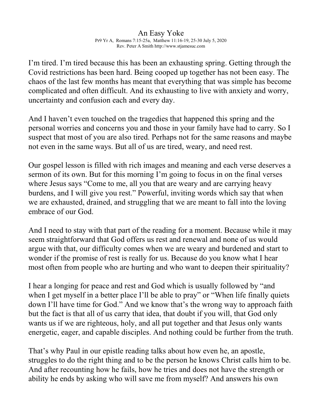## An Easy Yoke Pr9 Yr A, Romans 7:15-25a, Matthew 11:16-19, 25-30 July 5, 2020 Rev. Peter A Smith http://www.stjamesuc.com

I'm tired. I'm tired because this has been an exhausting spring. Getting through the Covid restrictions has been hard. Being cooped up together has not been easy. The chaos of the last few months has meant that everything that was simple has become complicated and often difficult. And its exhausting to live with anxiety and worry, uncertainty and confusion each and every day.

And I haven't even touched on the tragedies that happened this spring and the personal worries and concerns you and those in your family have had to carry. So I suspect that most of you are also tired. Perhaps not for the same reasons and maybe not even in the same ways. But all of us are tired, weary, and need rest.

Our gospel lesson is filled with rich images and meaning and each verse deserves a sermon of its own. But for this morning I'm going to focus in on the final verses where Jesus says "Come to me, all you that are weary and are carrying heavy burdens, and I will give you rest." Powerful, inviting words which say that when we are exhausted, drained, and struggling that we are meant to fall into the loving embrace of our God.

And I need to stay with that part of the reading for a moment. Because while it may seem straightforward that God offers us rest and renewal and none of us would argue with that, our difficulty comes when we are weary and burdened and start to wonder if the promise of rest is really for us. Because do you know what I hear most often from people who are hurting and who want to deepen their spirituality?

I hear a longing for peace and rest and God which is usually followed by "and when I get myself in a better place I'll be able to pray" or "When life finally quiets down I'll have time for God." And we know that's the wrong way to approach faith but the fact is that all of us carry that idea, that doubt if you will, that God only wants us if we are righteous, holy, and all put together and that Jesus only wants energetic, eager, and capable disciples. And nothing could be further from the truth.

That's why Paul in our epistle reading talks about how even he, an apostle, struggles to do the right thing and to be the person he knows Christ calls him to be. And after recounting how he fails, how he tries and does not have the strength or ability he ends by asking who will save me from myself? And answers his own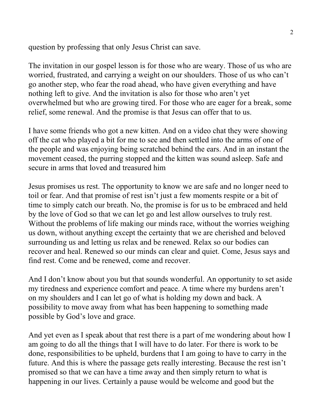question by professing that only Jesus Christ can save.

The invitation in our gospel lesson is for those who are weary. Those of us who are worried, frustrated, and carrying a weight on our shoulders. Those of us who can't go another step, who fear the road ahead, who have given everything and have nothing left to give. And the invitation is also for those who aren't yet overwhelmed but who are growing tired. For those who are eager for a break, some relief, some renewal. And the promise is that Jesus can offer that to us.

I have some friends who got a new kitten. And on a video chat they were showing off the cat who played a bit for me to see and then settled into the arms of one of the people and was enjoying being scratched behind the ears. And in an instant the movement ceased, the purring stopped and the kitten was sound asleep. Safe and secure in arms that loved and treasured him

Jesus promises us rest. The opportunity to know we are safe and no longer need to toil or fear. And that promise of rest isn't just a few moments respite or a bit of time to simply catch our breath. No, the promise is for us to be embraced and held by the love of God so that we can let go and lest allow ourselves to truly rest. Without the problems of life making our minds race, without the worries weighing us down, without anything except the certainty that we are cherished and beloved surrounding us and letting us relax and be renewed. Relax so our bodies can recover and heal. Renewed so our minds can clear and quiet. Come, Jesus says and find rest. Come and be renewed, come and recover.

And I don't know about you but that sounds wonderful. An opportunity to set aside my tiredness and experience comfort and peace. A time where my burdens aren't on my shoulders and I can let go of what is holding my down and back. A possibility to move away from what has been happening to something made possible by God's love and grace.

And yet even as I speak about that rest there is a part of me wondering about how I am going to do all the things that I will have to do later. For there is work to be done, responsibilities to be upheld, burdens that I am going to have to carry in the future. And this is where the passage gets really interesting. Because the rest isn't promised so that we can have a time away and then simply return to what is happening in our lives. Certainly a pause would be welcome and good but the